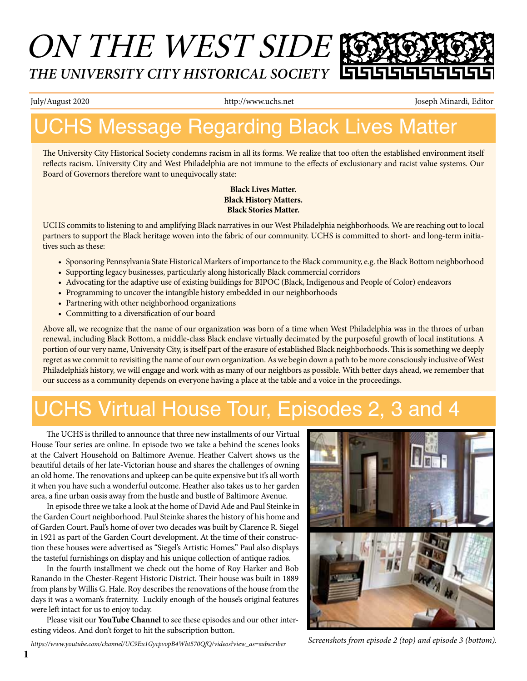## ON THE WEST SIDE *THE UNIVERSITY CITY HISTORICAL SOCIETY*

July/August 2020 http://www.uchs.net Joseph Minardi, Editor

## UCHS Message Regarding Black Lives Matter

The University City Historical Society condemns racism in all its forms. We realize that too often the established environment itself reflects racism. University City and West Philadelphia are not immune to the effects of exclusionary and racist value systems. Our Board of Governors therefore want to unequivocally state:

> **Black Lives Matter. Black History Matters. Black Stories Matter.**

UCHS commits to listening to and amplifying Black narratives in our West Philadelphia neighborhoods. We are reaching out to local partners to support the Black heritage woven into the fabric of our community. UCHS is committed to short- and long-term initiatives such as these:

- • Sponsoring Pennsylvania State Historical Markers of importance to the Black community, e.g. the Black Bottom neighborhood
- • Supporting legacy businesses, particularly along historically Black commercial corridors
- • Advocating for the adaptive use of existing buildings for BIPOC (Black, Indigenous and People of Color) endeavors
- Programming to uncover the intangible history embedded in our neighborhoods
- Partnering with other neighborhood organizations
- Committing to a diversification of our board

Above all, we recognize that the name of our organization was born of a time when West Philadelphia was in the throes of urban renewal, including Black Bottom, a middle-class Black enclave virtually decimated by the purposeful growth of local institutions. A portion of our very name, University City, is itself part of the erasure of established Black neighborhoods. This is something we deeply regret as we commit to revisiting the name of our own organization. As we begin down a path to be more consciously inclusive of West Philadelphia's history, we will engage and work with as many of our neighbors as possible. With better days ahead, we remember that our success as a community depends on everyone having a place at the table and a voice in the proceedings.

## UCHS Virtual House Tour, Episodes 2, 3 and 4

The UCHS is thrilled to announce that three new installments of our Virtual House Tour series are online. In episode two we take a behind the scenes looks at the Calvert Household on Baltimore Avenue. Heather Calvert shows us the beautiful details of her late-Victorian house and shares the challenges of owning an old home. The renovations and upkeep can be quite expensive but it's all worth it when you have such a wonderful outcome. Heather also takes us to her garden area, a fine urban oasis away from the hustle and bustle of Baltimore Avenue.

 In episode three we take a look at the home of David Ade and Paul Steinke in the Garden Court neighborhood. Paul Steinke shares the history of his home and of Garden Court. Paul's home of over two decades was built by Clarence R. Siegel in 1921 as part of the Garden Court development. At the time of their construction these houses were advertised as "Siegel's Artistic Homes." Paul also displays the tasteful furnishings on display and his unique collection of antique radios.

 In the fourth installment we check out the home of Roy Harker and Bob Ranando in the Chester-Regent Historic District. Their house was built in 1889 from plans by Willis G. Hale. Roy describes the renovations of the house from the days it was a woman's fraternity. Luckily enough of the house's original features were left intact for us to enjoy today.

Please visit our **YouTube Channel** to see these episodes and our other interesting videos. And don't forget to hit the subscription button.



*Screenshots from episode 2 (top) and episode 3 (bottom).*

*https://www.youtube.com/channel/UC9Eu1GycpvopB4Wbt570QfQ/videos?view\_as=subscriber*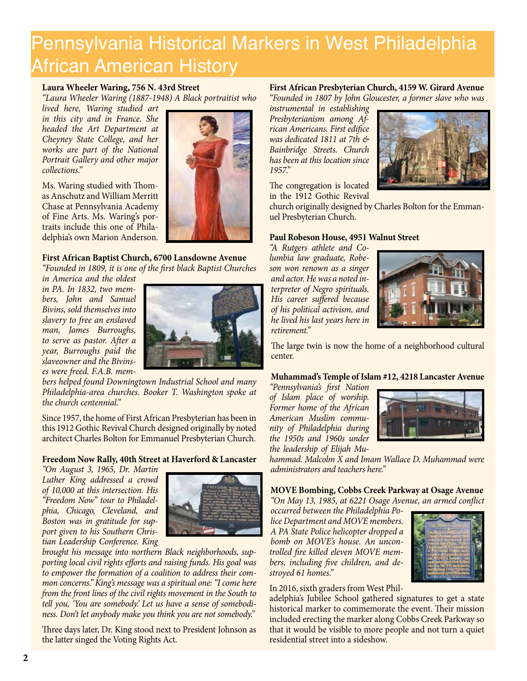## Pennsylvania Historical Markers in West Philadelphia African American History

#### **Laura Wheeler Waring, 756 N. 43rd Street**

*"Laura Wheeler Waring (1887-1948) A Black portraitist who* 

*lived here, Waring studied art in this city and in France. She headed the Art Department at Cheyney State College, and her works are part of the National Portrait Gallery and other major collections."* 

Ms. Waring studied with Thomas Anschutz and William Merritt Chase at Pennsylvania Academy of Fine Arts. Ms. Waring's portraits include this one of Philadelphia's own Marion Anderson.

#### **First African Baptist Church, 6700 Lansdowne Avenue**

*"Founded in 1809, it is one of the first black Baptist Churches* 

*in America and the oldest in PA. In 1832, two members, John and Samuel Bivins, sold themselves into slavery to free an enslaved man, James Burroughs, to serve as pastor. After a year, Burroughs paid the slaveowner and the Bivinses were freed. F.A.B. mem-*



*bers helped found Downingtown Industrial School and many Philadelphia-area churches. Booker T. Washington spoke at the church centennial."* 

Since 1957, the home of First African Presbyterian has been in this 1912 Gothic Revival Church designed originally by noted architect Charles Bolton for Emmanuel Presbyterian Church.

#### **Freedom Now Rally, 40th Street at Haverford & Lancaster**

*"On August 3, 1965, Dr. Martin Luther King addressed a crowd of 10,000 at this intersection. His "Freedom Now" tour to Philadelphia, Chicago, Cleveland, and Boston was in gratitude for support given to his Southern Christian Leadership Conference. King* 



*brought his message into northern Black neighborhoods, supporting local civil rights efforts and raising funds. His goal was to empower the formation of a coalition to address their common concerns." King's message was a spiritual one: "I come here from the front lines of the civil rights movement in the South to tell you, 'You are somebody.' Let us have a sense of somebodiness. Don't let anybody make you think you are not somebody."*

Three days later, Dr. King stood next to President Johnson as the latter singed the Voting Rights Act.

#### **First African Presbyterian Church, 4159 W. Girard Avenue**

*"Founded in 1807 by John Gloucester, a former slave who was* 

*instrumental in establishing Presbyterianism among African Americans. First edifice was dedicated 1811 at 7th & Bainbridge Streets. Church has been at this location since 1957."*

The congregation is located in the 1912 Gothic Revival



church originally designed by Charles Bolton for the Emmanuel Presbyterian Church.

#### **Paul Robeson House, 4951 Walnut Street**

*"A Rutgers athlete and Columbia law graduate, Robeson won renown as a singer and actor. He was a noted interpreter of Negro spirituals. His career suffered because of his political activism, and he lived his last years here in retirement."*



The large twin is now the home of a neighborhood cultural center.

#### **Muhammad's Temple of Islam #12, 4218 Lancaster Avenue**

*"Pennsylvania's first Nation of Islam place of worship. Former home of the African American Muslim community of Philadelphia during the 1950s and 1960s under the leadership of Elijah Mu-*



*hammad. Malcolm X and Imam Wallace D. Muhammad were administrators and teachers here."*

**MOVE Bombing, Cobbs Creek Parkway at Osage Avenue** *"On May 13, 1985, at 6221 Osage Avenue, an armed conflict* 

*occurred between the Philadelphia Police Department and MOVE members. A PA State Police helicopter dropped a bomb on MOVE's house. An uncontrolled fire killed eleven MOVE members, including five children, and destroyed 61 homes."* 



#### In 2016, sixth graders from West Phil-

adelphia's Jubilee School gathered signatures to get a state historical marker to commemorate the event. Their mission included erecting the marker along Cobbs Creek Parkway so that it would be visible to more people and not turn a quiet residential street into a sideshow.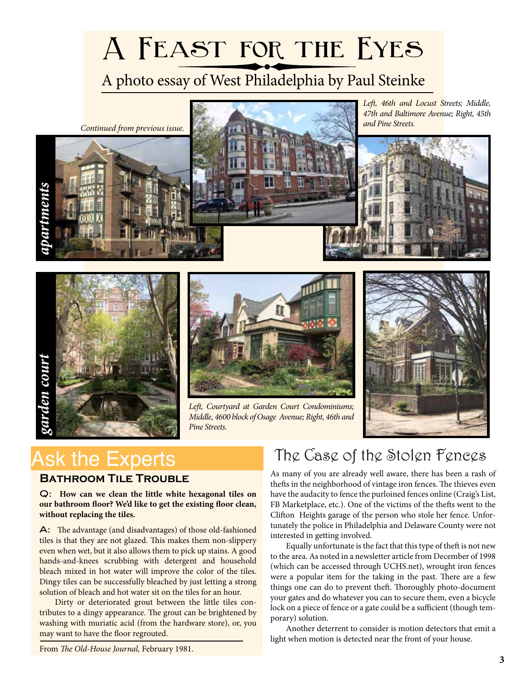# **A Feast for the Eyes**

### A photo essay of West Philadelphia by Paul Steinke







*Left, Courtyard at Garden Court Condominiums; Middle, 4600 block of Osage Avenue; Right, 46th and Pine Streets.*



## Ask the Experts

#### **Bathroom Tile Trouble**

Q: **How can we clean the little white hexagonal tiles on our bathroom floor? We'd like to get the existing floor clean, without replacing the tiles.**

A: The advantage (and disadvantages) of those old-fashioned tiles is that they are not glazed. This makes them non-slippery even when wet, but it also allows them to pick up stains. A good hands-and-knees scrubbing with detergent and household bleach mixed in hot water will improve the color of the tiles. Dingy tiles can be successfully bleached by just letting a strong solution of bleach and hot water sit on the tiles for an hour.

 Dirty or deteriorated grout between the little tiles contributes to a dingy appearance. The grout can be brightened by washing with muriatic acid (from the hardware store), or, you may want to have the floor regrouted.

## The Case of the Stolen Fences

As many of you are already well aware, there has been a rash of thefts in the neighborhood of vintage iron fences. The thieves even have the audacity to fence the purloined fences online (Craig's List, FB Marketplace, etc.). One of the victims of the thefts went to the Clifton Heights garage of the person who stole her fence. Unfortunately the police in Philadelphia and Delaware County were not interested in getting involved.

Equally unfortunate is the fact that this type of theft is not new to the area. As noted in a newsletter article from December of 1998 (which can be accessed through UCHS.net), wrought iron fences were a popular item for the taking in the past. There are a few things one can do to prevent theft. Thoroughly photo-document your gates and do whatever you can to secure them, even a bicycle lock on a piece of fence or a gate could be a sufficient (though temporary) solution.

 Another deterrent to consider is motion detectors that emit a light when motion is detected near the front of your house.

From *The Old-House Journal,* February 1981.